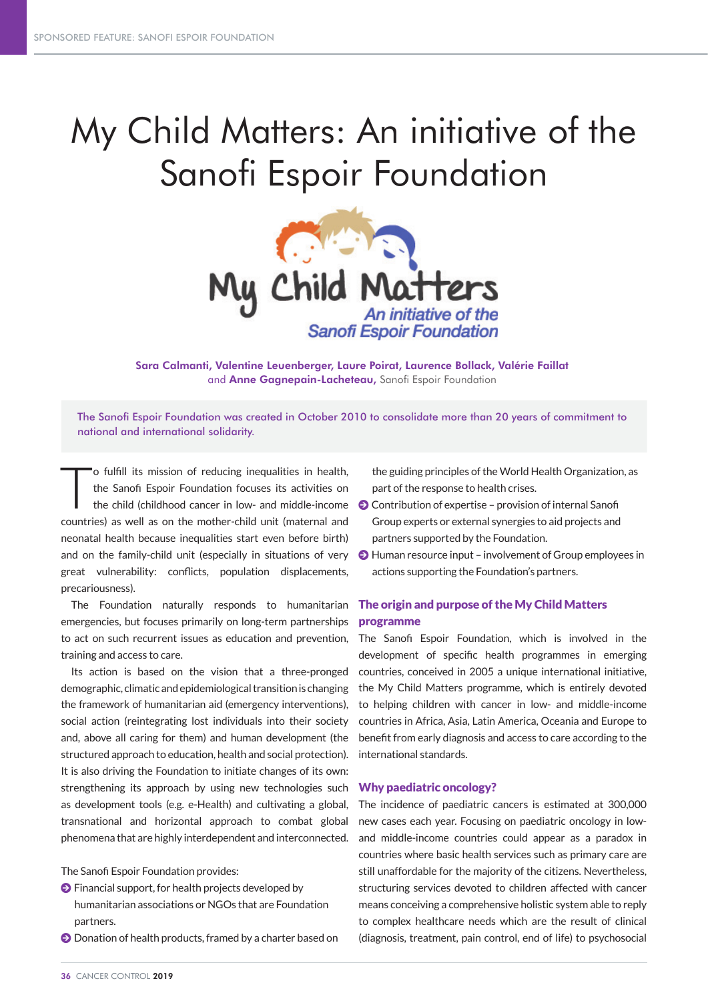# My Child Matters: An initiative of the Sanofi Espoir Foundation



Sara Calmanti, Valentine Leuenberger, Laure Poirat, Laurence Bollack, Valérie Faillat and Anne Gagnepain-Lacheteau, Sanofi Espoir Foundation

The Sanofi Espoir Foundation was created in October 2010 to consolidate more than 20 years of commitment to national and international solidarity.

T o fulfill its mission of reducing inequalities in health, the Sanofi Espoir Foundation focuses its activities on the child (childhood cancer in low- and middle-income countries) as well as on the mother-child unit (maternal and neonatal health because inequalities start even before birth) and on the family-child unit (especially in situations of very great vulnerability: conflicts, population displacements, precariousness).

The Foundation naturally responds to humanitarian emergencies, but focuses primarily on long-term partnerships to act on such recurrent issues as education and prevention, training and access to care.

Its action is based on the vision that a three-pronged demographic, climatic and epidemiological transition is changing the framework of humanitarian aid (emergency interventions), social action (reintegrating lost individuals into their society and, above all caring for them) and human development (the structured approach to education, health and social protection). It is also driving the Foundation to initiate changes of its own: strengthening its approach by using new technologies such as development tools (e.g. e-Health) and cultivating a global, transnational and horizontal approach to combat global phenomena that are highly interdependent and interconnected.

The Sanofi Espoir Foundation provides:

- $\bullet$  Financial support, for health projects developed by humanitarian associations or NGOs that are Foundation partners.
- $\odot$  Donation of health products, framed by a charter based on

the guiding principles of the World Health Organization, as part of the response to health crises.

- $\bullet$  Contribution of expertise provision of internal Sanofi Group experts or external synergies to aid projects and partners supported by the Foundation.
- J Human resource input involvement of Group employees in actions supporting the Foundation's partners.

# The origin and purpose of the My Child Matters programme

The Sanofi Espoir Foundation, which is involved in the development of specific health programmes in emerging countries, conceived in 2005 a unique international initiative, the My Child Matters programme, which is entirely devoted to helping children with cancer in low- and middle-income countries in Africa, Asia, Latin America, Oceania and Europe to benefit from early diagnosis and access to care according to the international standards.

## Why paediatric oncology?

The incidence of paediatric cancers is estimated at 300,000 new cases each year. Focusing on paediatric oncology in lowand middle-income countries could appear as a paradox in countries where basic health services such as primary care are still unaffordable for the majority of the citizens. Nevertheless, structuring services devoted to children affected with cancer means conceiving a comprehensive holistic system able to reply to complex healthcare needs which are the result of clinical (diagnosis, treatment, pain control, end of life) to psychosocial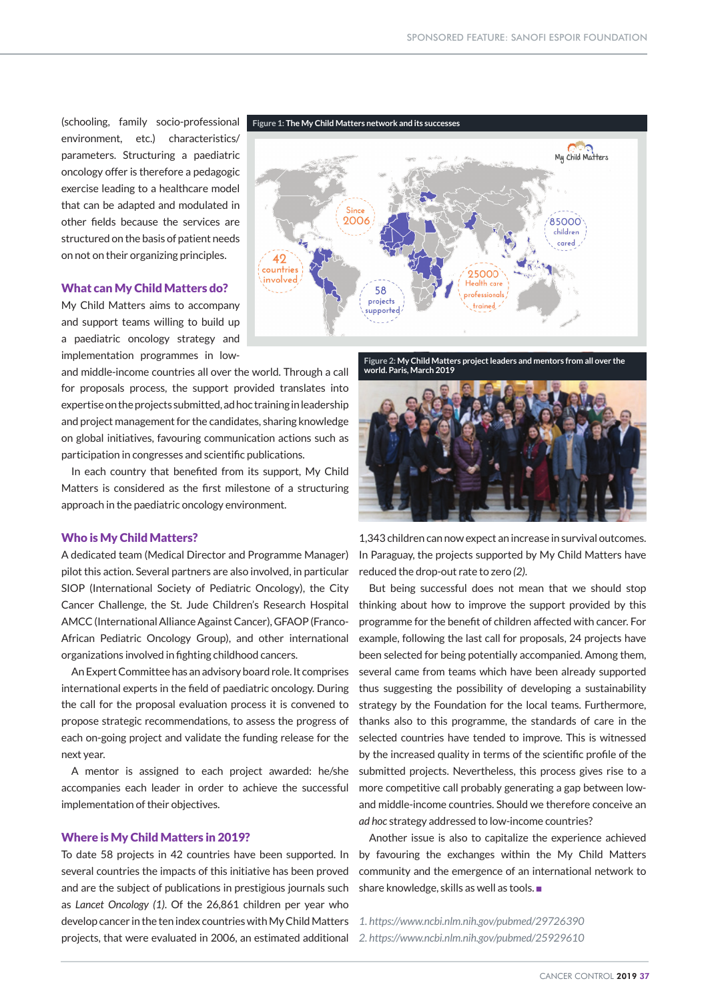(schooling, family socio-professional environment, etc.) characteristics/ parameters. Structuring a paediatric oncology offer is therefore a pedagogic exercise leading to a healthcare model that can be adapted and modulated in other fields because the services are structured on the basis of patient needs on not on their organizing principles.

#### What can My Child Matters do?

My Child Matters aims to accompany and support teams willing to build up a paediatric oncology strategy and implementation programmes in low-

and middle-income countries all over the world. Through a call for proposals process, the support provided translates into expertise on the projects submitted, ad hoc training in leadership and project management for the candidates, sharing knowledge on global initiatives, favouring communication actions such as participation in congresses and scientific publications.

In each country that benefited from its support, My Child Matters is considered as the first milestone of a structuring approach in the paediatric oncology environment.

### Who is My Child Matters?

A dedicated team (Medical Director and Programme Manager) pilot this action. Several partners are also involved, in particular SIOP (International Society of Pediatric Oncology), the City Cancer Challenge, the St. Jude Children's Research Hospital AMCC (International Alliance Against Cancer), GFAOP (Franco-African Pediatric Oncology Group), and other international organizations involved in fighting childhood cancers.

An Expert Committee has an advisory board role. It comprises international experts in the field of paediatric oncology. During the call for the proposal evaluation process it is convened to propose strategic recommendations, to assess the progress of each on-going project and validate the funding release for the next year.

A mentor is assigned to each project awarded: he/she accompanies each leader in order to achieve the successful implementation of their objectives.

### Where is My Child Matters in 2019?

To date 58 projects in 42 countries have been supported. In several countries the impacts of this initiative has been proved and are the subject of publications in prestigious journals such as *Lancet Oncology (1)*. Of the 26,861 children per year who develop cancer in the ten index countries with My Child Matters projects, that were evaluated in 2006, an estimated additional



**Figure 2: My Child Matters project leaders and mentors from all over the world. Paris, March 2019**



1,343 children can now expect an increase in survival outcomes. In Paraguay, the projects supported by My Child Matters have reduced the drop-out rate to zero *(2)*.

But being successful does not mean that we should stop thinking about how to improve the support provided by this programme for the benefit of children affected with cancer. For example, following the last call for proposals, 24 projects have been selected for being potentially accompanied. Among them, several came from teams which have been already supported thus suggesting the possibility of developing a sustainability strategy by the Foundation for the local teams. Furthermore, thanks also to this programme, the standards of care in the selected countries have tended to improve. This is witnessed by the increased quality in terms of the scientific profile of the submitted projects. Nevertheless, this process gives rise to a more competitive call probably generating a gap between lowand middle-income countries. Should we therefore conceive an *ad hoc* strategy addressed to low-income countries?

Another issue is also to capitalize the experience achieved by favouring the exchanges within the My Child Matters community and the emergence of an international network to share knowledge, skills as well as tools.

- *1. https://www.ncbi.nlm.nih.gov/pubmed/29726390*
- *2. https://www.ncbi.nlm.nih.gov/pubmed/25929610*